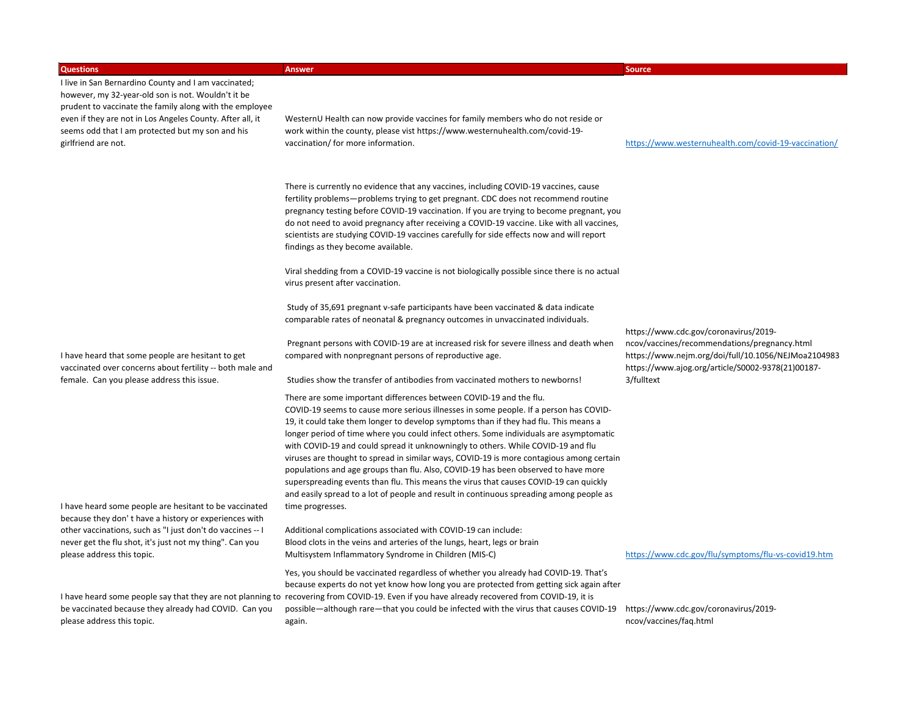| <b>Questions</b>                                                                                                                                                      | <b>Answer</b>                                                                                                                                                                                                                                                                                                                                                                                                                                                                                                                                                                                                                                                                                                                                                                                           | <b>Source</b>                                                                                                                                                                                     |
|-----------------------------------------------------------------------------------------------------------------------------------------------------------------------|---------------------------------------------------------------------------------------------------------------------------------------------------------------------------------------------------------------------------------------------------------------------------------------------------------------------------------------------------------------------------------------------------------------------------------------------------------------------------------------------------------------------------------------------------------------------------------------------------------------------------------------------------------------------------------------------------------------------------------------------------------------------------------------------------------|---------------------------------------------------------------------------------------------------------------------------------------------------------------------------------------------------|
| I live in San Bernardino County and I am vaccinated;<br>however, my 32-year-old son is not. Wouldn't it be<br>prudent to vaccinate the family along with the employee |                                                                                                                                                                                                                                                                                                                                                                                                                                                                                                                                                                                                                                                                                                                                                                                                         |                                                                                                                                                                                                   |
| even if they are not in Los Angeles County. After all, it<br>seems odd that I am protected but my son and his<br>girlfriend are not.                                  | WesternU Health can now provide vaccines for family members who do not reside or<br>work within the county, please vist https://www.westernuhealth.com/covid-19-<br>vaccination/ for more information.                                                                                                                                                                                                                                                                                                                                                                                                                                                                                                                                                                                                  | https://www.westernuhealth.com/covid-19-vaccination/                                                                                                                                              |
|                                                                                                                                                                       | There is currently no evidence that any vaccines, including COVID-19 vaccines, cause<br>fertility problems-problems trying to get pregnant. CDC does not recommend routine<br>pregnancy testing before COVID-19 vaccination. If you are trying to become pregnant, you<br>do not need to avoid pregnancy after receiving a COVID-19 vaccine. Like with all vaccines,<br>scientists are studying COVID-19 vaccines carefully for side effects now and will report<br>findings as they become available.                                                                                                                                                                                                                                                                                                  |                                                                                                                                                                                                   |
|                                                                                                                                                                       | Viral shedding from a COVID-19 vaccine is not biologically possible since there is no actual<br>virus present after vaccination.                                                                                                                                                                                                                                                                                                                                                                                                                                                                                                                                                                                                                                                                        |                                                                                                                                                                                                   |
|                                                                                                                                                                       | Study of 35,691 pregnant v-safe participants have been vaccinated & data indicate<br>comparable rates of neonatal & pregnancy outcomes in unvaccinated individuals.                                                                                                                                                                                                                                                                                                                                                                                                                                                                                                                                                                                                                                     |                                                                                                                                                                                                   |
| I have heard that some people are hesitant to get<br>vaccinated over concerns about fertility -- both male and                                                        | Pregnant persons with COVID-19 are at increased risk for severe illness and death when<br>compared with nonpregnant persons of reproductive age.                                                                                                                                                                                                                                                                                                                                                                                                                                                                                                                                                                                                                                                        | https://www.cdc.gov/coronavirus/2019-<br>ncov/vaccines/recommendations/pregnancy.html<br>https://www.nejm.org/doi/full/10.1056/NEJMoa2104983<br>https://www.ajog.org/article/S0002-9378(21)00187- |
| female. Can you please address this issue.                                                                                                                            | Studies show the transfer of antibodies from vaccinated mothers to newborns!                                                                                                                                                                                                                                                                                                                                                                                                                                                                                                                                                                                                                                                                                                                            | 3/fulltext                                                                                                                                                                                        |
|                                                                                                                                                                       | There are some important differences between COVID-19 and the flu.<br>COVID-19 seems to cause more serious illnesses in some people. If a person has COVID-<br>19, it could take them longer to develop symptoms than if they had flu. This means a<br>longer period of time where you could infect others. Some individuals are asymptomatic<br>with COVID-19 and could spread it unknowningly to others. While COVID-19 and flu<br>viruses are thought to spread in similar ways, COVID-19 is more contagious among certain<br>populations and age groups than flu. Also, COVID-19 has been observed to have more<br>superspreading events than flu. This means the virus that causes COVID-19 can quickly<br>and easily spread to a lot of people and result in continuous spreading among people as |                                                                                                                                                                                                   |
| I have heard some people are hesitant to be vaccinated<br>because they don't have a history or experiences with                                                       | time progresses.                                                                                                                                                                                                                                                                                                                                                                                                                                                                                                                                                                                                                                                                                                                                                                                        |                                                                                                                                                                                                   |
| other vaccinations, such as "I just don't do vaccines -- I<br>never get the flu shot, it's just not my thing". Can you<br>please address this topic.                  | Additional complications associated with COVID-19 can include:<br>Blood clots in the veins and arteries of the lungs, heart, legs or brain<br>Multisystem Inflammatory Syndrome in Children (MIS-C)                                                                                                                                                                                                                                                                                                                                                                                                                                                                                                                                                                                                     | https://www.cdc.gov/flu/symptoms/flu-vs-covid19.htm                                                                                                                                               |
|                                                                                                                                                                       | Yes, you should be vaccinated regardless of whether you already had COVID-19. That's<br>because experts do not yet know how long you are protected from getting sick again after<br>I have heard some people say that they are not planning to recovering from COVID-19. Even if you have already recovered from COVID-19, it is                                                                                                                                                                                                                                                                                                                                                                                                                                                                        |                                                                                                                                                                                                   |
| be vaccinated because they already had COVID. Can you<br>please address this topic.                                                                                   | possible—although rare—that you could be infected with the virus that causes COVID-19<br>again.                                                                                                                                                                                                                                                                                                                                                                                                                                                                                                                                                                                                                                                                                                         | https://www.cdc.gov/coronavirus/2019-<br>ncov/vaccines/faq.html                                                                                                                                   |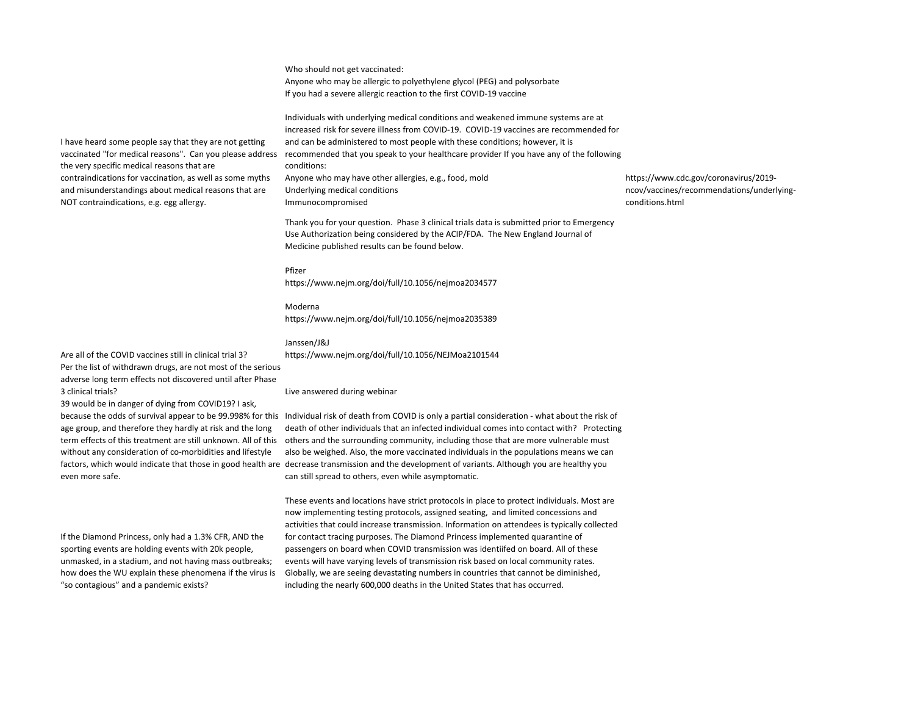Who should not get vaccinated: Anyone who may be allergic to polyethylene glycol (PEG) and polysorbate If you had a severe allergic reaction to the first COVID-19 vaccine

Individuals with underlying medical conditions and weakened immune systems are at increased risk for severe illness from COVID-19. COVID-19 vaccines are recommended for and can be administered to most people with these conditions; however, it is recommended that you speak to your healthcare provider If you have any of the following conditions: Anyone who may have other allergies, e.g., food, mold Underlying medical conditions Immunocompromised

Thank you for your question. Phase 3 clinical trials data is submitted prior to Emergency Use Authorization being considered by the ACIP/FDA. The New England Journal of Medicine published results can be found below.

Pfizer https://www.nejm.org/doi/full/10.1056/nejmoa2034577

Moderna https://www.nejm.org/doi/full/10.1056/nejmoa2035389

## Janssen/J&J

https://www.nejm.org/doi/full/10.1056/NEJMoa2101544

Are all of the COVID vaccines still in clinical trial 3? Per the list of withdrawn drugs, are not most of the serious adverse long term effects not discovered until after Phase 3 clinical trials? Based upon CDCC data, when CDCC data, when the odds that a person 20- Live answered during webinar

I have heard some people say that they are not getting vaccinated "for medical reasons". Can you please address

contraindications for vaccination, as well as some myths and misunderstandings about medical reasons that are

the very specific medical reasons that are

NOT contraindications, e.g. egg allergy.

39 would be in danger of dying from COVID19? I ask, because the odds of survival appear to be 99.998% for this age group, and therefore they hardly at risk and the long without any consideration of co-morbidities and lifestyle even more safe.

If the Diamond Princess, only had a 1.3% CFR, AND the sporting events are holding events with 20k people, unmasked, in a stadium, and not having mass outbreaks; how does the WU explain these phenomena if the virus is "so contagious" and a pandemic exists?

term effects of this treatment are still unknown. All of this others and the surrounding community, including those that are more vulnerable must factors, which would indicate that those in good health are decrease transmission and the development of variants. Although you are healthy you Individual risk of death from COVID is only a partial consideration - what about the risk of death of other individuals that an infected individual comes into contact with? Protecting also be weighed. Also, the more vaccinated individuals in the populations means we can can still spread to others, even while asymptomatic.

> These events and locations have strict protocols in place to protect individuals. Most are now implementing testing protocols, assigned seating, and limited concessions and activities that could increase transmission. Information on attendees is typically collected for contact tracing purposes. The Diamond Princess implemented quarantine of passengers on board when COVID transmission was identiifed on board. All of these events will have varying levels of transmission risk based on local community rates. Globally, we are seeing devastating numbers in countries that cannot be diminished, including the nearly 600,000 deaths in the United States that has occurred.

https://www.cdc.gov/coronavirus/2019 ncov/vaccines/recommendations/underlyingconditions.html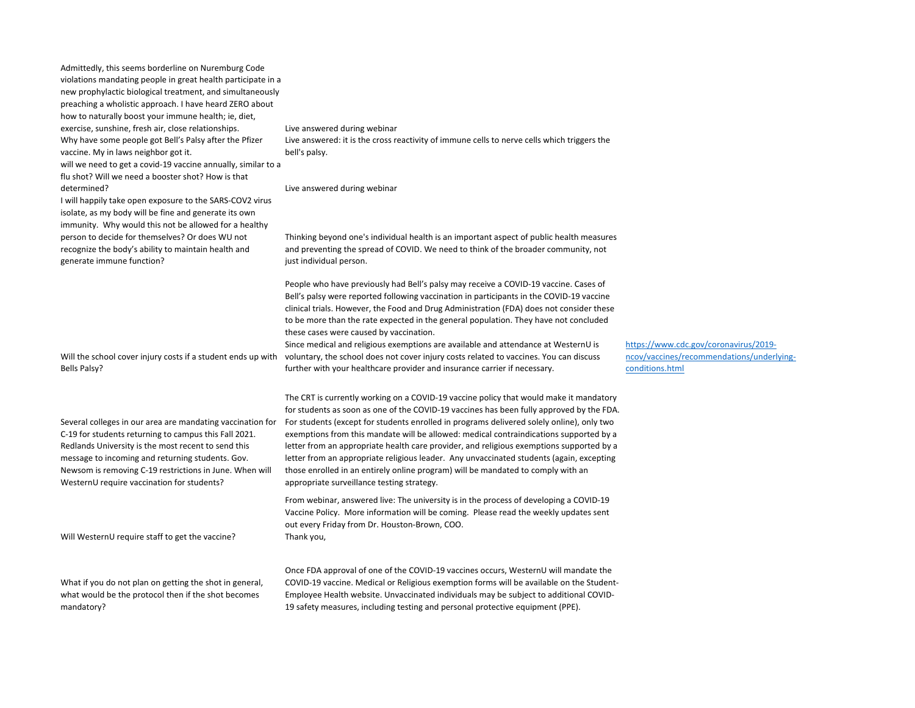Admittedly, this seems borderline on Nuremburg Code violations mandating people in great health participate in a new prophylactic biological treatment, and simultaneously preaching a wholistic approach. I have heard ZERO about how to naturally boost your immune health; ie, diet, exercise, sunshine, fresh air, close relationships. Live answered during webinar Why have some people got Bell's Palsy after the Pfizer vaccine. My in laws neighbor got it. will we need to get a covid-19 vaccine annually, similar to a flu shot? Will we need a booster shot? How is that determined? **Live answered during webinar Live answered during webinar** I will happily take open exposure to the SARS-COV2 virus

isolate, as my body will be fine and generate its own immunity. Why would this not be allowed for a healthy person to decide for themselves? Or does WU not recognize the body's ability to maintain health and generate immune function?

Will the school cover injury costs if a student ends up with Bells Palsy?

Several colleges in our area are mandating vaccination for C-19 for students returning to campus this Fall 2021. Redlands University is the most recent to send this message to incoming and returning students. Gov. Newsom is removing C-19 restrictions in June. When will WesternU require vaccination for students?

Will WesternU require staff to get the vaccine?

What if you do not plan on getting the shot in general. what would be the protocol then if the shot becomes mandatory?

Live answered: it is the cross reactivity of immune cells to nerve cells which triggers the bell's palsy.

Thinking beyond one's individual health is an important aspect of public health measures and preventing the spread of COVID. We need to think of the broader community, not just individual person.

People who have previously had Bell's palsy may receive a COVID-19 vaccine. Cases of Bell's palsy were reported following vaccination in participants in the COVID-19 vaccine clinical trials. However, the Food and Drug Administration (FDA) does not consider these to be more than the rate expected in the general population. They have not concluded these cases were caused by vaccination.

Since medical and religious exemptions are available and attendance at WesternU is voluntary, the school does not cover injury costs related to vaccines. You can discuss further with your healthcare provider and insurance carrier if necessary.

The CRT is currently working on a COVID-19 vaccine policy that would make it mandatory for students as soon as one of the COVID-19 vaccines has been fully approved by the FDA. For students (except for students enrolled in programs delivered solely online), only two exemptions from this mandate will be allowed: medical contraindications supported by a letter from an appropriate health care provider, and religious exemptions supported by a letter from an appropriate religious leader. Any unvaccinated students (again, excepting those enrolled in an entirely online program) will be mandated to comply with an appropriate surveillance testing strategy.

From webinar, answered live: The university is in the process of developing a COVID-19 Vaccine Policy. More information will be coming. Please read the weekly updates sent out every Friday from Dr. Houston-Brown, COO. Thank you,

Once FDA approval of one of the COVID-19 vaccines occurs, WesternU will mandate the COVID-19 vaccine. Medical or Religious exemption forms will be available on the Student-Employee Health website. Unvaccinated individuals may be subject to additional COVID-19 safety measures, including testing and personal protective equipment (PPE).

https://www.cdc.gov/coronavirus/2019 ncov/vaccines/recommendations/underlyingconditions.html